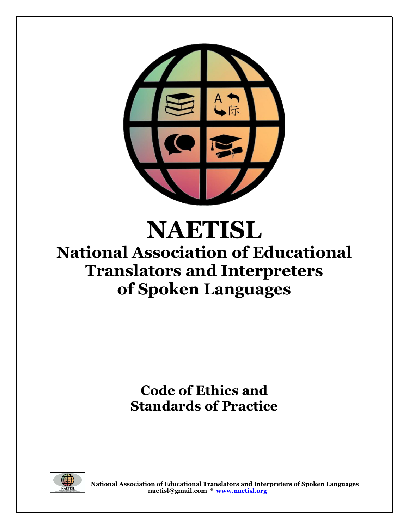

# **NAETISL National Association of Educational Translators and Interpreters of Spoken Languages**

**Code of Ethics and Standards of Practice** 

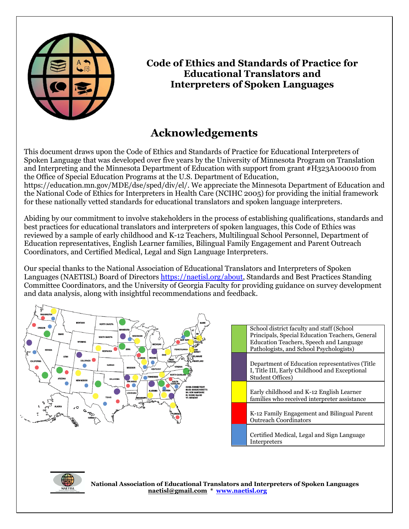

### **Code of Ethics and Standards of Practice for Educational Translators and Interpreters of Spoken Languages**

# **Acknowledgements**

This document draws upon the Code of Ethics and Standards of Practice for Educational Interpreters of Spoken Language that was developed over five years by the University of Minnesota Program on Translation and Interpreting and the Minnesota Department of Education with support from grant #H323A100010 from the Office of Special Education Programs at the U.S. Department of Education, https://education.mn.gov/MDE/dse/sped/div/el/. We appreciate the Minnesota Department of Education and the National Code of Ethics for Interpreters in Health Care (NCIHC 2005) for providing the initial framework for these nationally vetted standards for educational translators and spoken language interpreters.

Abiding by our commitment to involve stakeholders in the process of establishing qualifications, standards and best practices for educational translators and interpreters of spoken languages, this Code of Ethics was reviewed by a sample of early childhood and K-12 Teachers, Multilingual School Personnel, Department of Education representatives, English Learner families, Bilingual Family Engagement and Parent Outreach Coordinators, and Certified Medical, Legal and Sign Language Interpreters.

Our special thanks to the National Association of Educational Translators and Interpreters of Spoken Languages (NAETISL) Board of Director[s https://naetisl.org/about,](https://naetisl.org/about) Standards and Best Practices Standing Committee Coordinators, and the University of Georgia Faculty for providing guidance on survey development and data analysis, along with insightful recommendations and feedback.



| School district faculty and staff (School<br>Principals, Special Education Teachers, General<br>Education Teachers, Speech and Language<br>Pathologists, and School Psychologists) |
|------------------------------------------------------------------------------------------------------------------------------------------------------------------------------------|
| Department of Education representatives (Title<br>I, Title III, Early Childhood and Exceptional<br><b>Student Offices)</b>                                                         |
| Early childhood and K-12 English Learner<br>families who received interpreter assistance                                                                                           |
| K-12 Family Engagement and Bilingual Parent<br><b>Outreach Coordinators</b>                                                                                                        |
| Certified Medical, Legal and Sign Language<br>Interpreters                                                                                                                         |

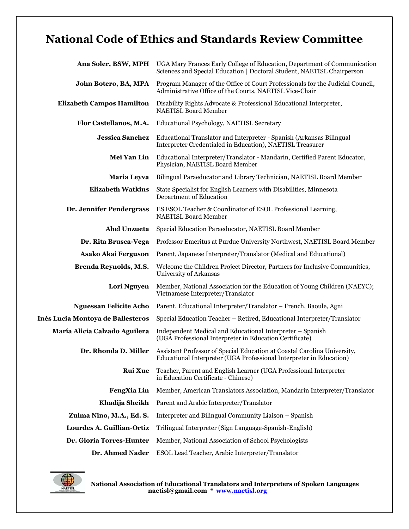# **National Code of Ethics and Standards Review Committee**

| Ana Soler, BSW, MPH                      | UGA Mary Frances Early College of Education, Department of Communication<br>Sciences and Special Education   Doctoral Student, NAETISL Chairperson |
|------------------------------------------|----------------------------------------------------------------------------------------------------------------------------------------------------|
| John Botero, BA, MPA                     | Program Manager of the Office of Court Professionals for the Judicial Council,<br>Administrative Office of the Courts, NAETISL Vice-Chair          |
| <b>Elizabeth Campos Hamilton</b>         | Disability Rights Advocate & Professional Educational Interpreter,<br><b>NAETISL Board Member</b>                                                  |
| Flor Castellanos, M.A.                   | Educational Psychology, NAETISL Secretary                                                                                                          |
| <b>Jessica Sanchez</b>                   | Educational Translator and Interpreter - Spanish (Arkansas Bilingual<br>Interpreter Credentialed in Education), NAETISL Treasurer                  |
| Mei Yan Lin                              | Educational Interpreter/Translator - Mandarin, Certified Parent Educator,<br>Physician, NAETISL Board Member                                       |
| Maria Leyva                              | Bilingual Paraeducator and Library Technician, NAETISL Board Member                                                                                |
| <b>Elizabeth Watkins</b>                 | State Specialist for English Learners with Disabilities, Minnesota<br>Department of Education                                                      |
| Dr. Jennifer Pendergrass                 | ES ESOL Teacher & Coordinator of ESOL Professional Learning,<br><b>NAETISL Board Member</b>                                                        |
| <b>Abel Unzueta</b>                      | Special Education Paraeducator, NAETISL Board Member                                                                                               |
| Dr. Rita Brusca-Vega                     | Professor Emeritus at Purdue University Northwest, NAETISL Board Member                                                                            |
| Asako Akai Ferguson                      | Parent, Japanese Interpreter/Translator (Medical and Educational)                                                                                  |
| Brenda Reynolds, M.S.                    | Welcome the Children Project Director, Partners for Inclusive Communities,<br>University of Arkansas                                               |
| Lori Nguyen                              | Member, National Association for the Education of Young Children (NAEYC);<br>Vietnamese Interpreter/Translator                                     |
| <b>Nguessan Felicite Acho</b>            | Parent, Educational Interpreter/Translator - French, Baoule, Agni                                                                                  |
| <b>Inés Lucia Montoya de Ballesteros</b> | Special Education Teacher - Retired, Educational Interpreter/Translator                                                                            |
| María Alicia Calzado Aguilera            | Independent Medical and Educational Interpreter - Spanish<br>(UGA Professional Interpreter in Education Certificate)                               |
| Dr. Rhonda D. Miller                     | Assistant Professor of Special Education at Coastal Carolina University,<br>Educational Interpreter (UGA Professional Interpreter in Education)    |
| <b>Rui Xue</b>                           | Teacher, Parent and English Learner (UGA Professional Interpreter<br>in Education Certificate - Chinese)                                           |
| <b>FengXia Lin</b>                       | Member, American Translators Association, Mandarin Interpreter/Translator                                                                          |
| Khadija Sheikh                           | Parent and Arabic Interpreter/Translator                                                                                                           |
| Zulma Nino, M.A., Ed. S.                 | Interpreter and Bilingual Community Liaison – Spanish                                                                                              |
| Lourdes A. Guillian-Ortiz                | Trilingual Interpreter (Sign Language-Spanish-English)                                                                                             |
| Dr. Gloria Torres-Hunter                 | Member, National Association of School Psychologists                                                                                               |
| Dr. Ahmed Nader                          | ESOL Lead Teacher, Arabic Interpreter/Translator                                                                                                   |

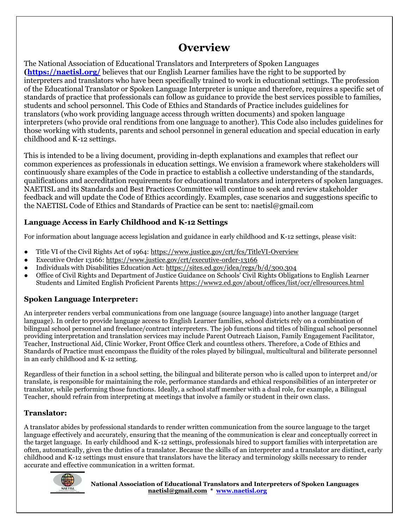## **Overview**

The National Association of Educational Translators and Interpreters of Spoken Languages **[\(https://naetisl.org/](https://naetisl.org/)** believes that our English Learner families have the right to be supported by interpreters and translators who have been specifically trained to work in educational settings. The profession of the Educational Translator or Spoken Language Interpreter is unique and therefore, requires a specific set of standards of practice that professionals can follow as guidance to provide the best services possible to families, students and school personnel. This Code of Ethics and Standards of Practice includes guidelines for translators (who work providing language access through written documents) and spoken language interpreters (who provide oral renditions from one language to another). This Code also includes guidelines for those working with students, parents and school personnel in general education and special education in early childhood and K-12 settings.

This is intended to be a living document, providing in-depth explanations and examples that reflect our common experiences as professionals in education settings. We envision a framework where stakeholders will continuously share examples of the Code in practice to establish a collective understanding of the standards, qualifications and accreditation requirements for educational translators and interpreters of spoken languages. NAETISL and its Standards and Best Practices Committee will continue to seek and review stakeholder feedback and will update the Code of Ethics accordingly. Examples, case scenarios and suggestions specific to the NAETISL Code of Ethics and Standards of Practice can be sent to: naetisl@gmail.com

#### **Language Access in Early Childhood and K-12 Settings**

For information about language access legislation and guidance in early childhood and K-12 settings, please visit:

- Title VI of the Civil Rights Act of 1964:<https://www.justice.gov/crt/fcs/TitleVI-Overview>
- Executive Order 13166:<https://www.justice.gov/crt/executive-order-13166>
- Individuals with Disabilities Education Act:<https://sites.ed.gov/idea/regs/b/d/300.304>
- Office of Civil Rights and Department of Justice Guidance on Schools' Civil Rights Obligations to English Learner Students and Limited English Proficient Parents<https://www2.ed.gov/about/offices/list/ocr/ellresources.html>

#### **Spoken Language Interpreter:**

An interpreter renders verbal communications from one language (source language) into another language (target language). In order to provide language access to English Learner families, school districts rely on a combination of bilingual school personnel and freelance/contract interpreters. The job functions and titles of bilingual school personnel providing interpretation and translation services may include Parent Outreach Liaison, Family Engagement Facilitator, Teacher, Instructional Aid, Clinic Worker, Front Office Clerk and countless others. Therefore, a Code of Ethics and Standards of Practice must encompass the fluidity of the roles played by bilingual, multicultural and biliterate personnel in an early childhood and K-12 setting.

Regardless of their function in a school setting, the bilingual and biliterate person who is called upon to interpret and/or translate, is responsible for maintaining the role, performance standards and ethical responsibilities of an interpreter or translator, while performing those functions. Ideally, a school staff member with a dual role, for example, a Bilingual Teacher, should refrain from interpreting at meetings that involve a family or student in their own class.

#### **Translator:**

A translator abides by professional standards to render written communication from the source language to the target language effectively and accurately, ensuring that the meaning of the communication is clear and conceptually correct in the target language. In early childhood and K-12 settings, professionals hired to support families with interpretation are often, automatically, given the duties of a translator. Because the skills of an interpreter and a translator are distinct, early childhood and K-12 settings must ensure that translators have the literacy and terminology skills necessary to render accurate and effective communication in a written format.

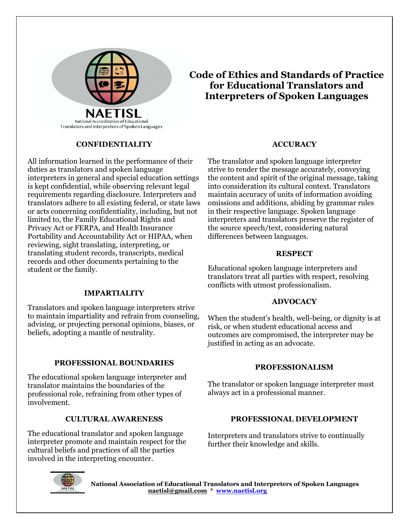

#### **CONFIDENTIALITY**

All information learned in the performance of their duties as translators and spoken language interpreters in general and special education settings is kept confidential, while observing relevant legal requirements regarding disclosure. Interpreters and translators adhere to all existing federal, or state laws or acts concerning confidentiality, including, but not limited to, the Family Educational Rights and Privacy Act or FERPA, and Health Insurance Portability and Accountability Act or HIPAA, when reviewing, sight translating, interpreting, or translating student records, transcripts, medical records and other documents pertaining to the student or the family.

#### **IMPARTIALITY**

Translators and spoken language interpreters strive to maintain impartiality and refrain from counseling, advising, or projecting personal opinions, biases, or beliefs, adopting a mantle of neutrality.

#### **PROFESSIONAL BOUNDARIES**

The educational spoken language interpreter and translator maintains the boundaries of the professional role, refraining from other types of involvement.

#### **CULTURAL AWARENESS**

The educational translator and spoken language interpreter promote and maintain respect for the cultural beliefs and practices of all the parties involved in the interpreting encounter.

### **Code of Ethics and Standards of Practice for Educational Translators and Interpreters of Spoken Languages**

#### **ACCURACY**

The translator and spoken language interpreter strive to render the message accurately, conveying the content and spirit of the original message, taking into consideration its cultural context. Translators maintain accuracy of units of information avoiding omissions and additions, abiding by grammar rules in their respective language. Spoken language interpreters and translators preserve the register of the source speech/text, considering natural differences between languages.

#### **RESPECT**

Educational spoken language interpreters and translators treat all parties with respect, resolving conflicts with utmost professionalism.

#### **ADVOCACY**

When the student's health, well-being, or dignity is at risk, or when student educational access and outcomes are compromised, the interpreter may be justified in acting as an advocate.

#### **PROFESSIONALISM**

The translator or spoken language interpreter must always act in a professional manner.

#### **PROFESSIONAL DEVELOPMENT**

Interpreters and translators strive to continually further their knowledge and skills.

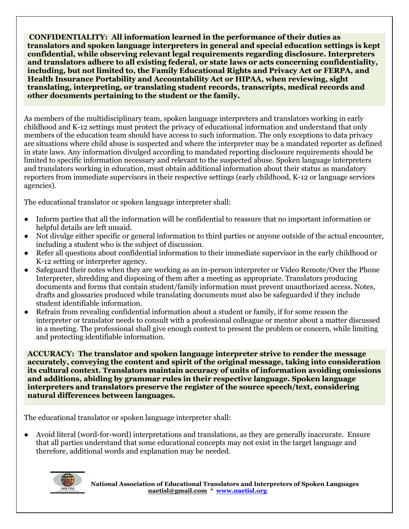**CONFIDENTIALITY: All information learned in the performance of their duties as translators and spoken language interpreters in general and special education settings is kept confidential, while observing relevant legal requirements regarding disclosure. Interpreters and translators adhere to all existing federal, or state laws or acts concerning confidentiality, including, but not limited to, the Family Educational Rights and Privacy Act or FERPA, and Health Insurance Portability and Accountability Act or HIPAA, when reviewing, sight translating, interpreting, or translating student records, transcripts, medical records and other documents pertaining to the student or the family.** 

As members of the multidisciplinary team, spoken language interpreters and translators working in early childhood and K-12 settings must protect the privacy of educational information and understand that only members of the education team should have access to such information. The only exceptions to data privacy are situations where child abuse is suspected and where the interpreter may be a mandated reporter as defined in state laws. Any information divulged according to mandated reporting disclosure requirements should be limited to specific information necessary and relevant to the suspected abuse. Spoken language interpreters and translators working in education, must obtain additional information about their status as mandatory reporters from immediate supervisors in their respective settings (early childhood, K-12 or language services agencies).

The educational translator or spoken language interpreter shall:

- Inform parties that all the information will be confidential to reassure that no important information or helpful details are left unsaid.
- Not divulge either specific or general information to third parties or anyone outside of the actual encounter, including a student who is the subject of discussion.
- Refer all questions about confidential information to their immediate supervisor in the early childhood or K-12 setting or interpreter agency.
- Safeguard their notes when they are working as an in-person interpreter or Video Remote/Over the Phone Interpreter, shredding and disposing of them after a meeting as appropriate. Translators producing documents and forms that contain student/family information must prevent unauthorized access. Notes, drafts and glossaries produced while translating documents must also be safeguarded if they include student identifiable information.
- Refrain from revealing confidential information about a student or family, if for some reason the interpreter or translator needs to consult with a professional colleague or mentor about a matter discussed in a meeting. The professional shall give enough context to present the problem or concern, while limiting and protecting identifiable information.

**ACCURACY: The translator and spoken language interpreter strive to render the message accurately, conveying the content and spirit of the original message, taking into consideration its cultural context. Translators maintain accuracy of units of information avoiding omissions and additions, abiding by grammar rules in their respective language. Spoken language interpreters and translators preserve the register of the source speech/text, considering natural differences between languages.**

The educational translator or spoken language interpreter shall:

● Avoid literal (word-for-word) interpretations and translations, as they are generally inaccurate. Ensure that all parties understand that some educational concepts may not exist in the target language and therefore, additional words and explanation may be needed.

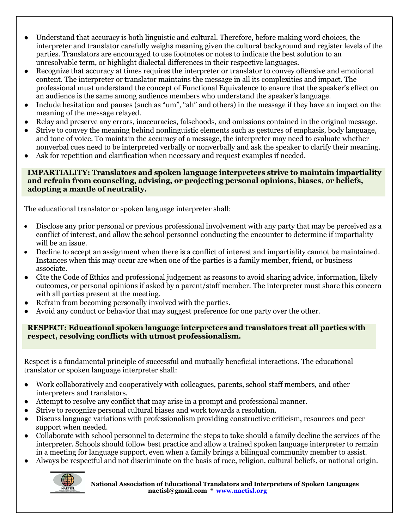- Understand that accuracy is both linguistic and cultural. Therefore, before making word choices, the interpreter and translator carefully weighs meaning given the cultural background and register levels of the parties. Translators are encouraged to use footnotes or notes to indicate the best solution to an unresolvable term, or highlight dialectal differences in their respective languages.
- Recognize that accuracy at times requires the interpreter or translator to convey offensive and emotional content. The interpreter or translator maintains the message in all its complexities and impact. The professional must understand the concept of Functional Equivalence to ensure that the speaker's effect on an audience is the same among audience members who understand the speaker's language.
- Include hesitation and pauses (such as "um", "ah" and others) in the message if they have an impact on the meaning of the message relayed.
- Relay and preserve any errors, inaccuracies, falsehoods, and omissions contained in the original message.
- Strive to convey the meaning behind nonlinguistic elements such as gestures of emphasis, body language, and tone of voice. To maintain the accuracy of a message, the interpreter may need to evaluate whether nonverbal cues need to be interpreted verbally or nonverbally and ask the speaker to clarify their meaning.
- Ask for repetition and clarification when necessary and request examples if needed.

#### **IMPARTIALITY: Translators and spoken language interpreters strive to maintain impartiality and refrain from counseling, advising, or projecting personal opinions, biases, or beliefs, adopting a mantle of neutrality.**

The educational translator or spoken language interpreter shall:

- Disclose any prior personal or previous professional involvement with any party that may be perceived as a conflict of interest, and allow the school personnel conducting the encounter to determine if impartiality will be an issue.
- Decline to accept an assignment when there is a conflict of interest and impartiality cannot be maintained. Instances when this may occur are when one of the parties is a family member, friend, or business associate.
- Cite the Code of Ethics and professional judgement as reasons to avoid sharing advice, information, likely outcomes, or personal opinions if asked by a parent/staff member. The interpreter must share this concern with all parties present at the meeting.
- Refrain from becoming personally involved with the parties.
- Avoid any conduct or behavior that may suggest preference for one party over the other.

#### **RESPECT: Educational spoken language interpreters and translators treat all parties with respect, resolving conflicts with utmost professionalism.**

Respect is a fundamental principle of successful and mutually beneficial interactions. The educational translator or spoken language interpreter shall:

- Work collaboratively and cooperatively with colleagues, parents, school staff members, and other interpreters and translators.
- Attempt to resolve any conflict that may arise in a prompt and professional manner.
- Strive to recognize personal cultural biases and work towards a resolution.
- Discuss language variations with professionalism providing constructive criticism, resources and peer support when needed.
- Collaborate with school personnel to determine the steps to take should a family decline the services of the interpreter. Schools should follow best practice and allow a trained spoken language interpreter to remain in a meeting for language support, even when a family brings a bilingual community member to assist.
- **●** Always be respectful and not discriminate on the basis of race, religion, cultural beliefs, or national origin.

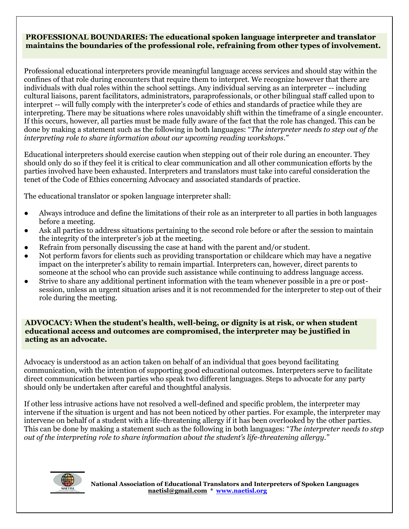#### **PROFESSIONAL BOUNDARIES: The educational spoken language interpreter and translator maintains the boundaries of the professional role, refraining from other types of involvement.**

Professional educational interpreters provide meaningful language access services and should stay within the confines of that role during encounters that require them to interpret. We recognize however that there are individuals with dual roles within the school settings. Any individual serving as an interpreter -- including cultural liaisons, parent facilitators, administrators, paraprofessionals, or other bilingual staff called upon to interpret -- will fully comply with the interpreter's code of ethics and standards of practice while they are interpreting. There may be situations where roles unavoidably shift within the timeframe of a single encounter. If this occurs, however, all parties must be made fully aware of the fact that the role has changed. This can be done by making a statement such as the following in both languages: "*The interpreter needs to step out of the interpreting role to share information about our upcoming reading workshops."*

Educational interpreters should exercise caution when stepping out of their role during an encounter. They should only do so if they feel it is critical to clear communication and all other communication efforts by the parties involved have been exhausted. Interpreters and translators must take into careful consideration the tenet of the Code of Ethics concerning Advocacy and associated standards of practice.

The educational translator or spoken language interpreter shall:

- Always introduce and define the limitations of their role as an interpreter to all parties in both languages before a meeting.
- Ask all parties to address situations pertaining to the second role before or after the session to maintain the integrity of the interpreter's job at the meeting.
- Refrain from personally discussing the case at hand with the parent and/or student.
- Not perform favors for clients such as providing transportation or childcare which may have a negative impact on the interpreter's ability to remain impartial. Interpreters can, however, direct parents to someone at the school who can provide such assistance while continuing to address language access.
- Strive to share any additional pertinent information with the team whenever possible in a pre or postsession, unless an urgent situation arises and it is not recommended for the interpreter to step out of their role during the meeting.

#### **ADVOCACY: When the student's health, well-being, or dignity is at risk, or when student educational access and outcomes are compromised, the interpreter may be justified in acting as an advocate.**

Advocacy is understood as an action taken on behalf of an individual that goes beyond facilitating communication, with the intention of supporting good educational outcomes. Interpreters serve to facilitate direct communication between parties who speak two different languages. Steps to advocate for any party should only be undertaken after careful and thoughtful analysis.

If other less intrusive actions have not resolved a well-defined and specific problem, the interpreter may intervene if the situation is urgent and has not been noticed by other parties. For example, the interpreter may intervene on behalf of a student with a life-threatening allergy if it has been overlooked by the other parties. This can be done by making a statement such as the following in both languages: "*The interpreter needs to step out of the interpreting role to share information about the student's life-threatening allergy."*

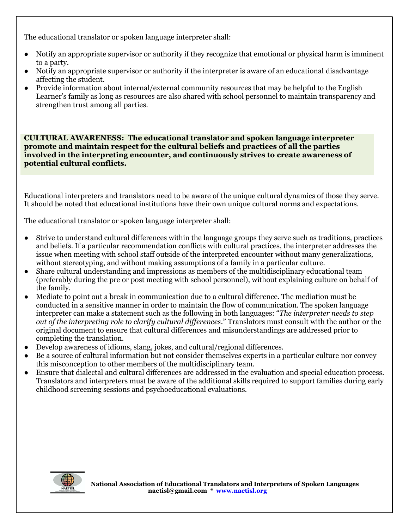The educational translator or spoken language interpreter shall:

- Notify an appropriate supervisor or authority if they recognize that emotional or physical harm is imminent to a party.
- Notify an appropriate supervisor or authority if the interpreter is aware of an educational disadvantage affecting the student.
- Provide information about internal/external community resources that may be helpful to the English Learner's family as long as resources are also shared with school personnel to maintain transparency and strengthen trust among all parties.

**CULTURAL AWARENESS: The educational translator and spoken language interpreter promote and maintain respect for the cultural beliefs and practices of all the parties involved in the interpreting encounter, and continuously strives to create awareness of potential cultural conflicts.** 

Educational interpreters and translators need to be aware of the unique cultural dynamics of those they serve. It should be noted that educational institutions have their own unique cultural norms and expectations.

The educational translator or spoken language interpreter shall:

- Strive to understand cultural differences within the language groups they serve such as traditions, practices and beliefs. If a particular recommendation conflicts with cultural practices, the interpreter addresses the issue when meeting with school staff outside of the interpreted encounter without many generalizations, without stereotyping, and without making assumptions of a family in a particular culture.
- Share cultural understanding and impressions as members of the multidisciplinary educational team (preferably during the pre or post meeting with school personnel), without explaining culture on behalf of the family.
- Mediate to point out a break in communication due to a cultural difference. The mediation must be conducted in a sensitive manner in order to maintain the flow of communication. The spoken language interpreter can make a statement such as the following in both languages: "*The interpreter needs to step out of the interpreting role to clarify cultural differences*." Translators must consult with the author or the original document to ensure that cultural differences and misunderstandings are addressed prior to completing the translation.
- Develop awareness of idioms, slang, jokes, and cultural/regional differences.
- Be a source of cultural information but not consider themselves experts in a particular culture nor convey this misconception to other members of the multidisciplinary team.
- Ensure that dialectal and cultural differences are addressed in the evaluation and special education process. Translators and interpreters must be aware of the additional skills required to support families during early childhood screening sessions and psychoeducational evaluations.

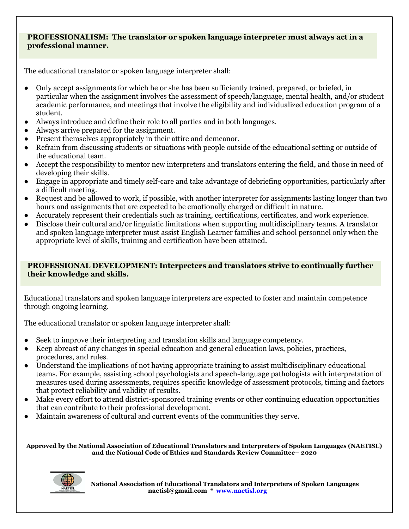#### **PROFESSIONALISM: The translator or spoken language interpreter must always act in a professional manner.**

The educational translator or spoken language interpreter shall:

- Only accept assignments for which he or she has been sufficiently trained, prepared, or briefed, in particular when the assignment involves the assessment of speech/language, mental health, and/or student academic performance, and meetings that involve the eligibility and individualized education program of a student.
- Always introduce and define their role to all parties and in both languages.
- Always arrive prepared for the assignment.
- Present themselves appropriately in their attire and demeanor.
- Refrain from discussing students or situations with people outside of the educational setting or outside of the educational team.
- Accept the responsibility to mentor new interpreters and translators entering the field, and those in need of developing their skills.
- Engage in appropriate and timely self-care and take advantage of debriefing opportunities, particularly after a difficult meeting.
- Request and be allowed to work, if possible, with another interpreter for assignments lasting longer than two hours and assignments that are expected to be emotionally charged or difficult in nature.
- Accurately represent their credentials such as training, certifications, certificates, and work experience.
- Disclose their cultural and/or linguistic limitations when supporting multidisciplinary teams. A translator and spoken language interpreter must assist English Learner families and school personnel only when the appropriate level of skills, training and certification have been attained.

#### **PROFESSIONAL DEVELOPMENT: Interpreters and translators strive to continually further their knowledge and skills.**

Educational translators and spoken language interpreters are expected to foster and maintain competence through ongoing learning.

The educational translator or spoken language interpreter shall:

- Seek to improve their interpreting and translation skills and language competency.
- Keep abreast of any changes in special education and general education laws, policies, practices, procedures, and rules.
- Understand the implications of not having appropriate training to assist multidisciplinary educational teams. For example, assisting school psychologists and speech-language pathologists with interpretation of measures used during assessments, requires specific knowledge of assessment protocols, timing and factors that protect reliability and validity of results.
- Make every effort to attend district-sponsored training events or other continuing education opportunities that can contribute to their professional development.
- Maintain awareness of cultural and current events of the communities they serve.

**Approved by the National Association of Educational Translators and Interpreters of Spoken Languages (NAETISL) and the National Code of Ethics and Standards Review Committee– 2020**